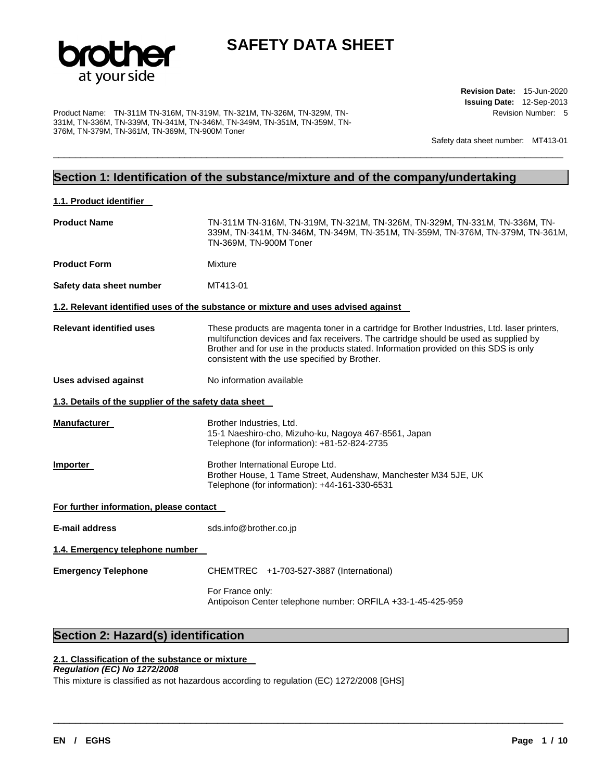

\_\_\_\_\_\_\_\_\_\_\_\_\_\_\_\_\_\_\_\_\_\_\_\_\_\_\_\_\_\_\_\_\_\_\_\_\_\_\_\_\_\_\_\_\_\_\_\_\_\_\_\_\_\_\_\_\_\_\_\_\_\_\_\_\_\_\_\_\_\_\_\_\_\_\_\_\_\_\_\_\_\_\_\_\_\_\_\_\_\_\_\_\_

Product Name: TN-311M TN-316M, TN-319M, TN-321M, TN-326M, TN-329M, TN-331M, TN-336M, TN-339M, TN-341M, TN-346M, TN-349M, TN-351M, TN-359M, TN-376M, TN-379M, TN-361M, TN-369M, TN-900M Toner

**Revision Date:** 15-Jun-2020 **Issuing Date:** 12-Sep-2013 Revision Number: 5

Safety data sheet number: MT413-01

# **Section 1: Identification of the substance/mixture and of the company/undertaking**

| 1.1. Product identifier                               |                                                                                                                                                                                                                                                                                                                               |
|-------------------------------------------------------|-------------------------------------------------------------------------------------------------------------------------------------------------------------------------------------------------------------------------------------------------------------------------------------------------------------------------------|
| <b>Product Name</b>                                   | TN-311M TN-316M, TN-319M, TN-321M, TN-326M, TN-329M, TN-331M, TN-336M, TN-<br>339M, TN-341M, TN-346M, TN-349M, TN-351M, TN-359M, TN-376M, TN-379M, TN-361M,<br>TN-369M, TN-900M Toner                                                                                                                                         |
| <b>Product Form</b>                                   | Mixture                                                                                                                                                                                                                                                                                                                       |
| Safety data sheet number                              | MT413-01                                                                                                                                                                                                                                                                                                                      |
|                                                       | 1.2. Relevant identified uses of the substance or mixture and uses advised against                                                                                                                                                                                                                                            |
| <b>Relevant identified uses</b>                       | These products are magenta toner in a cartridge for Brother Industries, Ltd. laser printers,<br>multifunction devices and fax receivers. The cartridge should be used as supplied by<br>Brother and for use in the products stated. Information provided on this SDS is only<br>consistent with the use specified by Brother. |
| <b>Uses advised against</b>                           | No information available                                                                                                                                                                                                                                                                                                      |
| 1.3. Details of the supplier of the safety data sheet |                                                                                                                                                                                                                                                                                                                               |
| <b>Manufacturer</b>                                   | Brother Industries, Ltd.<br>15-1 Naeshiro-cho, Mizuho-ku, Nagoya 467-8561, Japan<br>Telephone (for information): +81-52-824-2735                                                                                                                                                                                              |
| Importer                                              | Brother International Europe Ltd.<br>Brother House, 1 Tame Street, Audenshaw, Manchester M34 5JE, UK<br>Telephone (for information): +44-161-330-6531                                                                                                                                                                         |
| For further information, please contact               |                                                                                                                                                                                                                                                                                                                               |
| <b>E-mail address</b>                                 | sds.info@brother.co.jp                                                                                                                                                                                                                                                                                                        |
| 1.4. Emergency telephone number                       |                                                                                                                                                                                                                                                                                                                               |
| <b>Emergency Telephone</b>                            | CHEMTREC +1-703-527-3887 (International)                                                                                                                                                                                                                                                                                      |
|                                                       | For France only:<br>Antipoison Center telephone number: ORFILA +33-1-45-425-959                                                                                                                                                                                                                                               |

\_\_\_\_\_\_\_\_\_\_\_\_\_\_\_\_\_\_\_\_\_\_\_\_\_\_\_\_\_\_\_\_\_\_\_\_\_\_\_\_\_\_\_\_\_\_\_\_\_\_\_\_\_\_\_\_\_\_\_\_\_\_\_\_\_\_\_\_\_\_\_\_\_\_\_\_\_\_\_\_\_\_\_\_\_\_\_\_\_\_\_\_\_

# **Section 2: Hazard(s) identification**

#### **2.1. Classification of the substance or mixture**

#### *Regulation (EC) No 1272/2008*

This mixture is classified as not hazardous according to regulation (EC) 1272/2008 [GHS]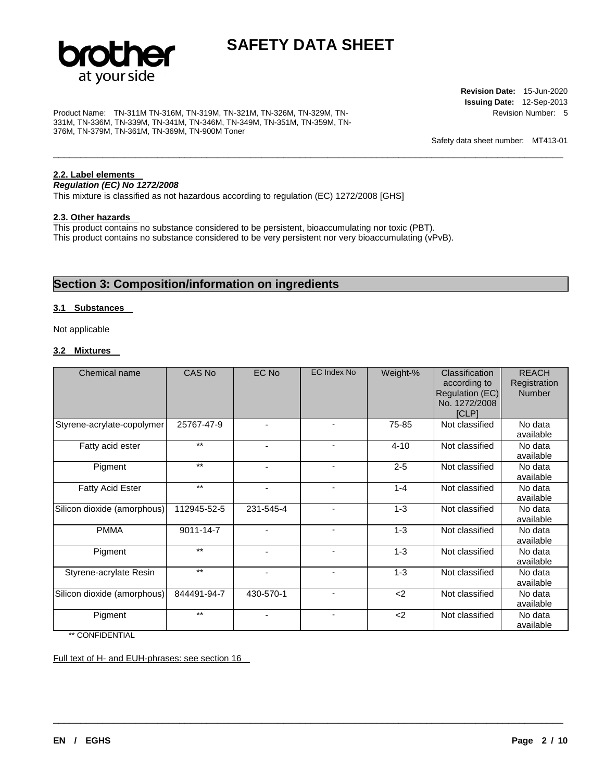

\_\_\_\_\_\_\_\_\_\_\_\_\_\_\_\_\_\_\_\_\_\_\_\_\_\_\_\_\_\_\_\_\_\_\_\_\_\_\_\_\_\_\_\_\_\_\_\_\_\_\_\_\_\_\_\_\_\_\_\_\_\_\_\_\_\_\_\_\_\_\_\_\_\_\_\_\_\_\_\_\_\_\_\_\_\_\_\_\_\_\_\_\_

Product Name: TN-311M TN-316M, TN-319M, TN-321M, TN-326M, TN-329M, TN-331M, TN-336M, TN-339M, TN-341M, TN-346M, TN-349M, TN-351M, TN-359M, TN-376M, TN-379M, TN-361M, TN-369M, TN-900M Toner

**Revision Date:** 15-Jun-2020 **Issuing Date:** 12-Sep-2013 Revision Number: 5

Safety data sheet number: MT413-01

### **2.2. Label elements**

*Regulation (EC) No 1272/2008* 

This mixture is classified as not hazardous according to regulation (EC) 1272/2008 [GHS]

### **2.3. Other hazards**

This product contains no substance considered to be persistent, bioaccumulating nor toxic (PBT). This product contains no substance considered to be very persistent nor very bioaccumulating (vPvB).

## **Section 3: Composition/information on ingredients**

### **3.1 Substances**

Not applicable

### **3.2 Mixtures**

| Chemical name               | CAS No      | EC No          | <b>EC Index No</b>       | Weight-% | Classification<br>according to<br>Regulation (EC)<br>No. 1272/2008<br><b>ICLP1</b> | <b>REACH</b><br>Registration<br><b>Number</b> |
|-----------------------------|-------------|----------------|--------------------------|----------|------------------------------------------------------------------------------------|-----------------------------------------------|
| Styrene-acrylate-copolymer  | 25767-47-9  | ٠              | $\blacksquare$           | 75-85    | Not classified                                                                     | No data<br>available                          |
| Fatty acid ester            | $**$        | $\blacksquare$ | $\blacksquare$           | $4 - 10$ | Not classified                                                                     | No data<br>available                          |
| Pigment                     | $***$       | ٠              | $\overline{\phantom{a}}$ | $2 - 5$  | Not classified                                                                     | No data<br>available                          |
| <b>Fatty Acid Ester</b>     | $***$       | $\blacksquare$ | $\overline{a}$           | $1 - 4$  | Not classified                                                                     | No data<br>available                          |
| Silicon dioxide (amorphous) | 112945-52-5 | 231-545-4      | $\overline{a}$           | $1 - 3$  | Not classified                                                                     | No data<br>available                          |
| <b>PMMA</b>                 | 9011-14-7   | $\blacksquare$ |                          | $1 - 3$  | Not classified                                                                     | No data<br>available                          |
| Pigment                     | $***$       | ۰              | $\blacksquare$           | $1 - 3$  | Not classified                                                                     | No data<br>available                          |
| Styrene-acrylate Resin      | $***$       | $\blacksquare$ | $\blacksquare$           | $1 - 3$  | Not classified                                                                     | No data<br>available                          |
| Silicon dioxide (amorphous) | 844491-94-7 | 430-570-1      |                          | $2$      | Not classified                                                                     | No data<br>available                          |
| Pigment                     | $***$       | ٠              | $\overline{\phantom{a}}$ | $2$      | Not classified                                                                     | No data<br>available                          |

\_\_\_\_\_\_\_\_\_\_\_\_\_\_\_\_\_\_\_\_\_\_\_\_\_\_\_\_\_\_\_\_\_\_\_\_\_\_\_\_\_\_\_\_\_\_\_\_\_\_\_\_\_\_\_\_\_\_\_\_\_\_\_\_\_\_\_\_\_\_\_\_\_\_\_\_\_\_\_\_\_\_\_\_\_\_\_\_\_\_\_\_\_

\*\* CONFIDENTIAL

Full text of H- and EUH-phrases: see section 16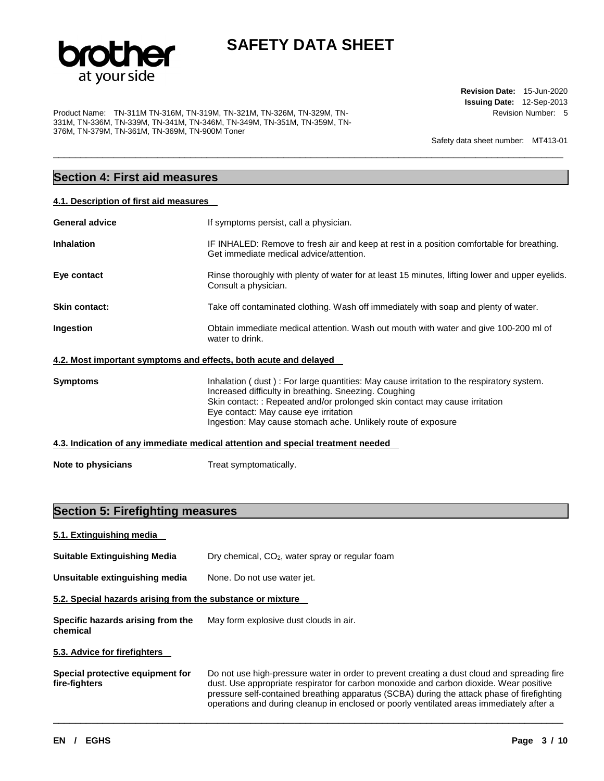

\_\_\_\_\_\_\_\_\_\_\_\_\_\_\_\_\_\_\_\_\_\_\_\_\_\_\_\_\_\_\_\_\_\_\_\_\_\_\_\_\_\_\_\_\_\_\_\_\_\_\_\_\_\_\_\_\_\_\_\_\_\_\_\_\_\_\_\_\_\_\_\_\_\_\_\_\_\_\_\_\_\_\_\_\_\_\_\_\_\_\_\_\_

Product Name: TN-311M TN-316M, TN-319M, TN-321M, TN-326M, TN-329M, TN-331M, TN-336M, TN-339M, TN-341M, TN-346M, TN-349M, TN-351M, TN-359M, TN-376M, TN-379M, TN-361M, TN-369M, TN-900M Toner

**Revision Date:** 15-Jun-2020 **Issuing Date:** 12-Sep-2013 Revision Number: 5

Safety data sheet number: MT413-01

# **Section 4: First aid measures**

| 4.1. Description of first aid measures |  |  |  |  |  |
|----------------------------------------|--|--|--|--|--|
|----------------------------------------|--|--|--|--|--|

| <b>General advice</b>                                            | If symptoms persist, call a physician.                                                                                                                                                                                                                                                                                                     |
|------------------------------------------------------------------|--------------------------------------------------------------------------------------------------------------------------------------------------------------------------------------------------------------------------------------------------------------------------------------------------------------------------------------------|
| <b>Inhalation</b>                                                | IF INHALED: Remove to fresh air and keep at rest in a position comfortable for breathing.<br>Get immediate medical advice/attention.                                                                                                                                                                                                       |
| Eye contact                                                      | Rinse thoroughly with plenty of water for at least 15 minutes, lifting lower and upper eyelids.<br>Consult a physician.                                                                                                                                                                                                                    |
| Skin contact:                                                    | Take off contaminated clothing. Wash off immediately with soap and plenty of water.                                                                                                                                                                                                                                                        |
| Ingestion                                                        | Obtain immediate medical attention. Wash out mouth with water and give 100-200 ml of<br>water to drink.                                                                                                                                                                                                                                    |
| 4.2. Most important symptoms and effects, both acute and delayed |                                                                                                                                                                                                                                                                                                                                            |
| Symptoms                                                         | Inhalation (dust): For large quantities: May cause irritation to the respiratory system.<br>Increased difficulty in breathing. Sneezing. Coughing<br>Skin contact: : Repeated and/or prolonged skin contact may cause irritation<br>Eye contact: May cause eye irritation<br>Ingestion: May cause stomach ache. Unlikely route of exposure |
|                                                                  | 4.3. Indication of any immediate medical attention and special treatment needed                                                                                                                                                                                                                                                            |
| Note to physicians                                               | Treat symptomatically.                                                                                                                                                                                                                                                                                                                     |

# **Section 5: Firefighting measures**

| 5.1. Extinguishing media                                   |                                                                                                                                                                                                                                                                                                                                                                                 |
|------------------------------------------------------------|---------------------------------------------------------------------------------------------------------------------------------------------------------------------------------------------------------------------------------------------------------------------------------------------------------------------------------------------------------------------------------|
| <b>Suitable Extinguishing Media</b>                        | Dry chemical, CO <sub>2</sub> , water spray or regular foam                                                                                                                                                                                                                                                                                                                     |
| Unsuitable extinguishing media                             | None. Do not use water jet.                                                                                                                                                                                                                                                                                                                                                     |
| 5.2. Special hazards arising from the substance or mixture |                                                                                                                                                                                                                                                                                                                                                                                 |
| Specific hazards arising from the<br>chemical              | May form explosive dust clouds in air.                                                                                                                                                                                                                                                                                                                                          |
| 5.3. Advice for firefighters                               |                                                                                                                                                                                                                                                                                                                                                                                 |
| Special protective equipment for<br>fire-fighters          | Do not use high-pressure water in order to prevent creating a dust cloud and spreading fire<br>dust. Use appropriate respirator for carbon monoxide and carbon dioxide. Wear positive<br>pressure self-contained breathing apparatus (SCBA) during the attack phase of firefighting<br>operations and during cleanup in enclosed or poorly ventilated areas immediately after a |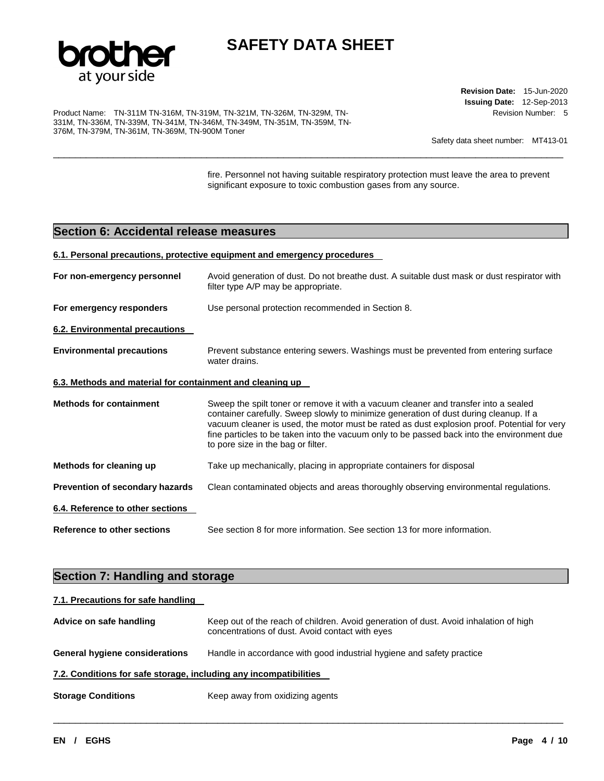

\_\_\_\_\_\_\_\_\_\_\_\_\_\_\_\_\_\_\_\_\_\_\_\_\_\_\_\_\_\_\_\_\_\_\_\_\_\_\_\_\_\_\_\_\_\_\_\_\_\_\_\_\_\_\_\_\_\_\_\_\_\_\_\_\_\_\_\_\_\_\_\_\_\_\_\_\_\_\_\_\_\_\_\_\_\_\_\_\_\_\_\_\_

Product Name: TN-311M TN-316M, TN-319M, TN-321M, TN-326M, TN-329M, TN-331M, TN-336M, TN-339M, TN-341M, TN-346M, TN-349M, TN-351M, TN-359M, TN-376M, TN-379M, TN-361M, TN-369M, TN-900M Toner

**Revision Date:** 15-Jun-2020 **Issuing Date:** 12-Sep-2013 Revision Number: 5

Safety data sheet number: MT413-01

fire. Personnel not having suitable respiratory protection must leave the area to prevent significant exposure to toxic combustion gases from any source.

## **Section 6: Accidental release measures**

#### **6.1. Personal precautions, protective equipment and emergency procedures**

| For non-emergency personnel                               | Avoid generation of dust. Do not breathe dust. A suitable dust mask or dust respirator with<br>filter type A/P may be appropriate.                                                                                                                                                                                                                                                                              |
|-----------------------------------------------------------|-----------------------------------------------------------------------------------------------------------------------------------------------------------------------------------------------------------------------------------------------------------------------------------------------------------------------------------------------------------------------------------------------------------------|
| For emergency responders                                  | Use personal protection recommended in Section 8.                                                                                                                                                                                                                                                                                                                                                               |
| 6.2. Environmental precautions                            |                                                                                                                                                                                                                                                                                                                                                                                                                 |
| <b>Environmental precautions</b>                          | Prevent substance entering sewers. Washings must be prevented from entering surface<br>water drains.                                                                                                                                                                                                                                                                                                            |
| 6.3. Methods and material for containment and cleaning up |                                                                                                                                                                                                                                                                                                                                                                                                                 |
| <b>Methods for containment</b>                            | Sweep the spilt toner or remove it with a vacuum cleaner and transfer into a sealed<br>container carefully. Sweep slowly to minimize generation of dust during cleanup. If a<br>vacuum cleaner is used, the motor must be rated as dust explosion proof. Potential for very<br>fine particles to be taken into the vacuum only to be passed back into the environment due<br>to pore size in the bag or filter. |
| Methods for cleaning up                                   | Take up mechanically, placing in appropriate containers for disposal                                                                                                                                                                                                                                                                                                                                            |
| Prevention of secondary hazards                           | Clean contaminated objects and areas thoroughly observing environmental regulations.                                                                                                                                                                                                                                                                                                                            |
| 6.4. Reference to other sections                          |                                                                                                                                                                                                                                                                                                                                                                                                                 |
| <b>Reference to other sections</b>                        | See section 8 for more information. See section 13 for more information.                                                                                                                                                                                                                                                                                                                                        |

# **Section 7: Handling and storage**

| 7.1. Precautions for safe handling                                |                                                                                                                                          |
|-------------------------------------------------------------------|------------------------------------------------------------------------------------------------------------------------------------------|
| Advice on safe handling                                           | Keep out of the reach of children. Avoid generation of dust. Avoid inhalation of high<br>concentrations of dust. Avoid contact with eyes |
| <b>General hygiene considerations</b>                             | Handle in accordance with good industrial hygiene and safety practice                                                                    |
| 7.2. Conditions for safe storage, including any incompatibilities |                                                                                                                                          |
| <b>Storage Conditions</b>                                         | Keep away from oxidizing agents                                                                                                          |

\_\_\_\_\_\_\_\_\_\_\_\_\_\_\_\_\_\_\_\_\_\_\_\_\_\_\_\_\_\_\_\_\_\_\_\_\_\_\_\_\_\_\_\_\_\_\_\_\_\_\_\_\_\_\_\_\_\_\_\_\_\_\_\_\_\_\_\_\_\_\_\_\_\_\_\_\_\_\_\_\_\_\_\_\_\_\_\_\_\_\_\_\_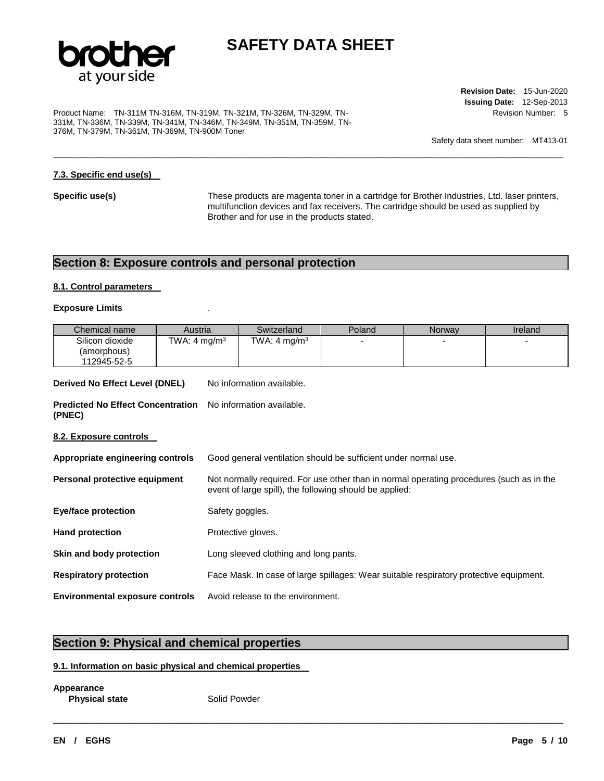

\_\_\_\_\_\_\_\_\_\_\_\_\_\_\_\_\_\_\_\_\_\_\_\_\_\_\_\_\_\_\_\_\_\_\_\_\_\_\_\_\_\_\_\_\_\_\_\_\_\_\_\_\_\_\_\_\_\_\_\_\_\_\_\_\_\_\_\_\_\_\_\_\_\_\_\_\_\_\_\_\_\_\_\_\_\_\_\_\_\_\_\_\_

Product Name: TN-311M TN-316M, TN-319M, TN-321M, TN-326M, TN-329M, TN-331M, TN-336M, TN-339M, TN-341M, TN-346M, TN-349M, TN-351M, TN-359M, TN-376M, TN-379M, TN-361M, TN-369M, TN-900M Toner

**Revision Date:** 15-Jun-2020 **Issuing Date:** 12-Sep-2013 Revision Number: 5

Safety data sheet number: MT413-01

### **7.3. Specific end use(s)**

**Specific use(s)** These products are magenta toner in a cartridge for Brother Industries, Ltd. laser printers, multifunction devices and fax receivers. The cartridge should be used as supplied by Brother and for use in the products stated.

## **Section 8: Exposure controls and personal protection**

### **8.1. Control parameters**

### **Exposure Limits** .

| Chemical name                                      | Austria                  |                                                                                                                                                     | Switzerland                           | Poland                                                                                 | Norway | Ireland |
|----------------------------------------------------|--------------------------|-----------------------------------------------------------------------------------------------------------------------------------------------------|---------------------------------------|----------------------------------------------------------------------------------------|--------|---------|
| Silicon dioxide<br>(amorphous)<br>112945-52-5      | TWA: 4 mg/m <sup>3</sup> |                                                                                                                                                     | TWA: 4 mg/m $^3$                      |                                                                                        |        |         |
| Derived No Effect Level (DNEL)                     |                          |                                                                                                                                                     | No information available.             |                                                                                        |        |         |
| <b>Predicted No Effect Concentration</b><br>(PNEC) |                          |                                                                                                                                                     | No information available.             |                                                                                        |        |         |
| <u>8.2. Exposure controls  </u>                    |                          |                                                                                                                                                     |                                       |                                                                                        |        |         |
| Appropriate engineering controls                   |                          |                                                                                                                                                     |                                       | Good general ventilation should be sufficient under normal use.                        |        |         |
| Personal protective equipment                      |                          | Not normally required. For use other than in normal operating procedures (such as in the<br>event of large spill), the following should be applied: |                                       |                                                                                        |        |         |
| <b>Eye/face protection</b>                         |                          | Safety goggles.                                                                                                                                     |                                       |                                                                                        |        |         |
| <b>Hand protection</b>                             |                          |                                                                                                                                                     | Protective gloves.                    |                                                                                        |        |         |
| Skin and body protection                           |                          |                                                                                                                                                     | Long sleeved clothing and long pants. |                                                                                        |        |         |
| <b>Respiratory protection</b>                      |                          |                                                                                                                                                     |                                       | Face Mask. In case of large spillages: Wear suitable respiratory protective equipment. |        |         |
| <b>Environmental exposure controls</b>             |                          |                                                                                                                                                     | Avoid release to the environment.     |                                                                                        |        |         |

\_\_\_\_\_\_\_\_\_\_\_\_\_\_\_\_\_\_\_\_\_\_\_\_\_\_\_\_\_\_\_\_\_\_\_\_\_\_\_\_\_\_\_\_\_\_\_\_\_\_\_\_\_\_\_\_\_\_\_\_\_\_\_\_\_\_\_\_\_\_\_\_\_\_\_\_\_\_\_\_\_\_\_\_\_\_\_\_\_\_\_\_\_

## **Section 9: Physical and chemical properties**

### **9.1. Information on basic physical and chemical properties**

**Appearance Physical state Solid Powder**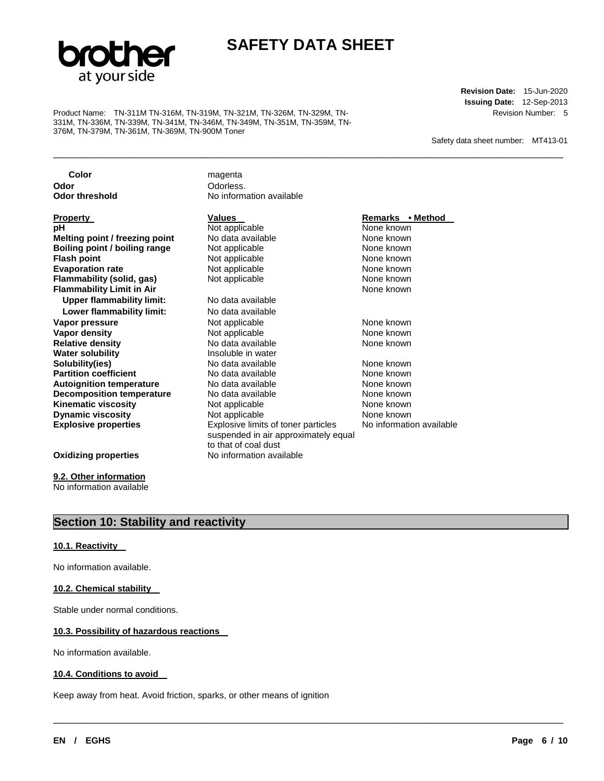

\_\_\_\_\_\_\_\_\_\_\_\_\_\_\_\_\_\_\_\_\_\_\_\_\_\_\_\_\_\_\_\_\_\_\_\_\_\_\_\_\_\_\_\_\_\_\_\_\_\_\_\_\_\_\_\_\_\_\_\_\_\_\_\_\_\_\_\_\_\_\_\_\_\_\_\_\_\_\_\_\_\_\_\_\_\_\_\_\_\_\_\_\_

\_\_\_\_\_\_\_\_\_\_\_\_\_\_\_\_\_\_\_\_\_\_\_\_\_\_\_\_\_\_\_\_\_\_\_\_\_\_\_\_\_\_\_\_\_\_\_\_\_\_\_\_\_\_\_\_\_\_\_\_\_\_\_\_\_\_\_\_\_\_\_\_\_\_\_\_\_\_\_\_\_\_\_\_\_\_\_\_\_\_\_\_\_

Product Name: TN-311M TN-316M, TN-319M, TN-321M, TN-326M, TN-329M, TN-331M, TN-336M, TN-339M, TN-341M, TN-346M, TN-349M, TN-351M, TN-359M, TN-376M, TN-379M, TN-361M, TN-369M, TN-900M Toner

**Revision Date:** 15-Jun-2020 **Issuing Date:** 12-Sep-2013 Revision Number: 5

Safety data sheet number: MT413-01

**Color** magenta **Odor**<br> **Odor threshold**<br> **Odor threshold CODOR CODOR CODOR CODOR CODOR CODOR CODOR No information available Property Values Values Property Remarks • Method Mone known pH**<br> **Not applicable** Motata available Mone known<br> **Melting point / freezing point** No data available None known **Melting point / freezing point N**o data available None known<br> **Boiling point / boiling range** Not applicable None **known Boiling point / boiling range** Mot applicable **None known**<br> **Flash point Word Contains Contained Mot applicable None known Not applicable Evaporation rate Not applicable None known**<br> **Flammability (solid, gas)** Not applicable **None known**<br>
None known **Flammability (solid, gas) Not applicable Connect and School And Mone known**<br> **Flammability Limit in Air None known Flammability Limit in Air Communist Communist Communist Communist Communist Communist Communist Communist Communist Communist Communist Communist Communist Communist Communist Communist Communist Communist Communist Com Upper flammability limit: Lower flammability limit:** No data available **Vapor pressure 12 Contract Accord Accord Not applicable 12 Contract Accord None known Vapor density** Not applicable None known No data available<br>Insoluble in water **Water solubility**<br>Solubility(ies) **Solubility(ies)** No data available None known **Partition coefficient No data available None known**<br> **Autoignition temperature No data available None known None known Autoignition temperature 1988** No data available 1988 None known<br> **Decomposition temperature** 1988 No data available 1988 None known **Decomposition temperature** No data available None known **Kinematic viscosity**<br> **None known**<br> **None known**<br>
None known<br>
None known **Dynamic viscosity<br>Explosive properties Explosive limits of toner particles** suspended in air approximately equal to that of coal dust No information available **Oxidizing properties** No information available

**9.2. Other information**

No information available

## **Section 10: Stability and reactivity**

### **10.1. Reactivity**

No information available.

### **10.2. Chemical stability**

Stable under normal conditions.

### **10.3. Possibility of hazardous reactions**

No information available.

#### **10.4. Conditions to avoid**

Keep away from heat. Avoid friction, sparks, or other means of ignition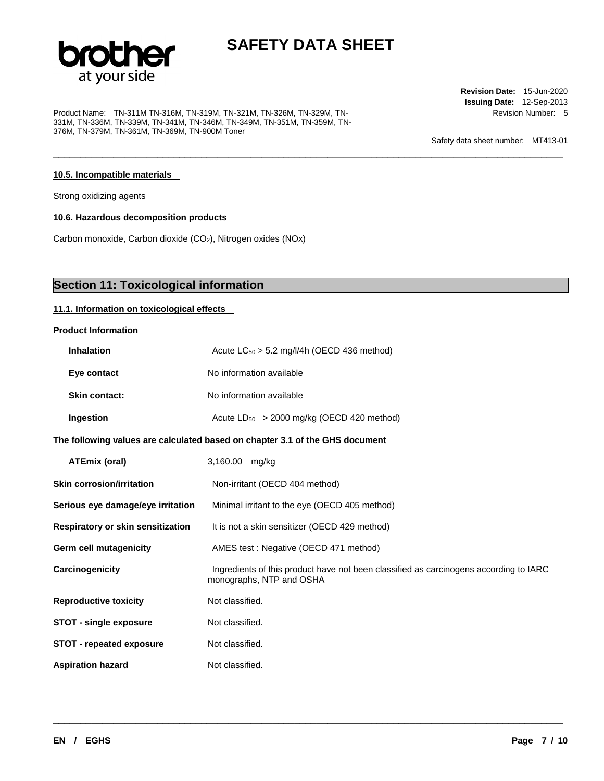

\_\_\_\_\_\_\_\_\_\_\_\_\_\_\_\_\_\_\_\_\_\_\_\_\_\_\_\_\_\_\_\_\_\_\_\_\_\_\_\_\_\_\_\_\_\_\_\_\_\_\_\_\_\_\_\_\_\_\_\_\_\_\_\_\_\_\_\_\_\_\_\_\_\_\_\_\_\_\_\_\_\_\_\_\_\_\_\_\_\_\_\_\_

Product Name: TN-311M TN-316M, TN-319M, TN-321M, TN-326M, TN-329M, TN-331M, TN-336M, TN-339M, TN-341M, TN-346M, TN-349M, TN-351M, TN-359M, TN-376M, TN-379M, TN-361M, TN-369M, TN-900M Toner

**Revision Date:** 15-Jun-2020 **Issuing Date:** 12-Sep-2013 Revision Number: 5

Safety data sheet number: MT413-01

### **10.5. Incompatible materials**

Strong oxidizing agents

**10.6. Hazardous decomposition products** 

Carbon monoxide, Carbon dioxide (CO<sub>2</sub>), Nitrogen oxides (NOx)

# **Section 11: Toxicological information**

### **11.1. Information on toxicological effects**

### **Product Information**

| <b>Inhalation</b>                 | Acute $LC_{50} > 5.2$ mg/l/4h (OECD 436 method)                                                                   |
|-----------------------------------|-------------------------------------------------------------------------------------------------------------------|
| Eye contact                       | No information available                                                                                          |
| <b>Skin contact:</b>              | No information available                                                                                          |
| Ingestion                         | Acute $LD_{50}$ > 2000 mg/kg (OECD 420 method)                                                                    |
|                                   | The following values are calculated based on chapter 3.1 of the GHS document                                      |
| <b>ATEmix (oral)</b>              | 3,160.00 mg/kg                                                                                                    |
| <b>Skin corrosion/irritation</b>  | Non-irritant (OECD 404 method)                                                                                    |
| Serious eye damage/eye irritation | Minimal irritant to the eye (OECD 405 method)                                                                     |
| Respiratory or skin sensitization | It is not a skin sensitizer (OECD 429 method)                                                                     |
| Germ cell mutagenicity            | AMES test: Negative (OECD 471 method)                                                                             |
| Carcinogenicity                   | Ingredients of this product have not been classified as carcinogens according to IARC<br>monographs, NTP and OSHA |
| <b>Reproductive toxicity</b>      | Not classified.                                                                                                   |
| <b>STOT - single exposure</b>     | Not classified.                                                                                                   |
| <b>STOT - repeated exposure</b>   | Not classified.                                                                                                   |
| <b>Aspiration hazard</b>          | Not classified.                                                                                                   |

\_\_\_\_\_\_\_\_\_\_\_\_\_\_\_\_\_\_\_\_\_\_\_\_\_\_\_\_\_\_\_\_\_\_\_\_\_\_\_\_\_\_\_\_\_\_\_\_\_\_\_\_\_\_\_\_\_\_\_\_\_\_\_\_\_\_\_\_\_\_\_\_\_\_\_\_\_\_\_\_\_\_\_\_\_\_\_\_\_\_\_\_\_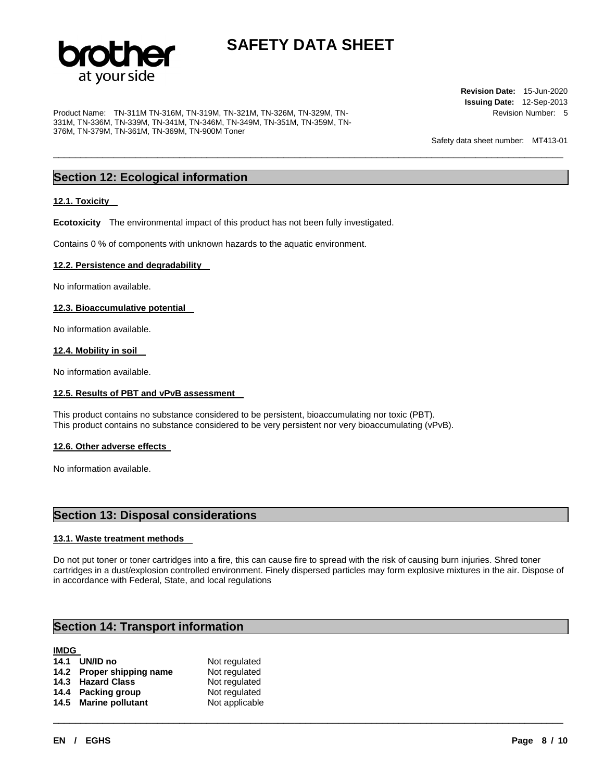

\_\_\_\_\_\_\_\_\_\_\_\_\_\_\_\_\_\_\_\_\_\_\_\_\_\_\_\_\_\_\_\_\_\_\_\_\_\_\_\_\_\_\_\_\_\_\_\_\_\_\_\_\_\_\_\_\_\_\_\_\_\_\_\_\_\_\_\_\_\_\_\_\_\_\_\_\_\_\_\_\_\_\_\_\_\_\_\_\_\_\_\_\_

Product Name: TN-311M TN-316M, TN-319M, TN-321M, TN-326M, TN-329M, TN-331M, TN-336M, TN-339M, TN-341M, TN-346M, TN-349M, TN-351M, TN-359M, TN-376M, TN-379M, TN-361M, TN-369M, TN-900M Toner

**Revision Date:** 15-Jun-2020 **Issuing Date:** 12-Sep-2013 Revision Number: 5

Safety data sheet number: MT413-01

## **Section 12: Ecological information**

### **12.1. Toxicity**

**Ecotoxicity** The environmental impact of this product has not been fully investigated.

Contains 0 % of components with unknown hazards to the aquatic environment.

### **12.2. Persistence and degradability**

No information available.

### **12.3. Bioaccumulative potential**

No information available.

### **12.4. Mobility in soil**

No information available.

### **12.5. Results of PBT and vPvB assessment**

This product contains no substance considered to be persistent, bioaccumulating nor toxic (PBT). This product contains no substance considered to be very persistent nor very bioaccumulating (vPvB).

#### **12.6. Other adverse effects**

No information available.

## **Section 13: Disposal considerations**

### **13.1. Waste treatment methods**

Do not put toner or toner cartridges into a fire, this can cause fire to spread with the risk of causing burn injuries. Shred toner cartridges in a dust/explosion controlled environment. Finely dispersed particles may form explosive mixtures in the air. Dispose of in accordance with Federal, State, and local regulations

\_\_\_\_\_\_\_\_\_\_\_\_\_\_\_\_\_\_\_\_\_\_\_\_\_\_\_\_\_\_\_\_\_\_\_\_\_\_\_\_\_\_\_\_\_\_\_\_\_\_\_\_\_\_\_\_\_\_\_\_\_\_\_\_\_\_\_\_\_\_\_\_\_\_\_\_\_\_\_\_\_\_\_\_\_\_\_\_\_\_\_\_\_

## **Section 14: Transport information**

# **IMDG 14.1 UN/ID no**  Not regulated

| 14.2 Proper shipping name | Not regulated  |
|---------------------------|----------------|
| 14.3 Hazard Class         | Not regulated  |
| 14.4 Packing group        | Not regulated  |
| 14.5 Marine pollutant     | Not applicable |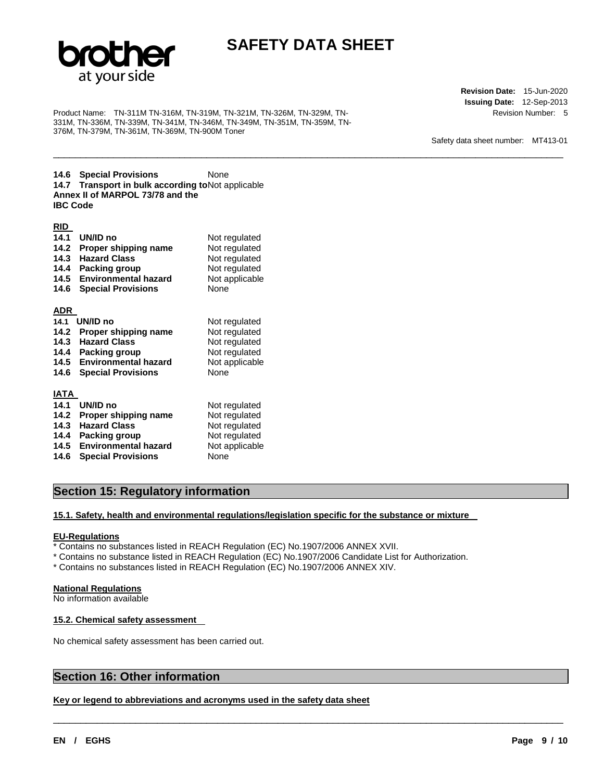

\_\_\_\_\_\_\_\_\_\_\_\_\_\_\_\_\_\_\_\_\_\_\_\_\_\_\_\_\_\_\_\_\_\_\_\_\_\_\_\_\_\_\_\_\_\_\_\_\_\_\_\_\_\_\_\_\_\_\_\_\_\_\_\_\_\_\_\_\_\_\_\_\_\_\_\_\_\_\_\_\_\_\_\_\_\_\_\_\_\_\_\_\_

Product Name: TN-311M TN-316M, TN-319M, TN-321M, TN-326M, TN-329M, TN-331M, TN-336M, TN-339M, TN-341M, TN-346M, TN-349M, TN-351M, TN-359M, TN-376M, TN-379M, TN-361M, TN-369M, TN-900M Toner

**Revision Date:** 15-Jun-2020 **Issuing Date:** 12-Sep-2013 Revision Number: 5

Safety data sheet number: MT413-01

**14.6 Special Provisions** None 14.7 Transport in bulk according to Not applicable **Annex II of MARPOL 73/78 and the IBC Code** 

| <u>RID</u> |                             |                |
|------------|-----------------------------|----------------|
| 14.1       | UN/ID no                    | Not regulated  |
| 14.2       | Proper shipping name        | Not regulated  |
| 14.3       | <b>Hazard Class</b>         | Not regulated  |
| 14.4       | Packing group               | Not regulated  |
| 14.5       | <b>Environmental hazard</b> | Not applicable |
| 14.6       | <b>Special Provisions</b>   | None           |
|            |                             |                |
| ADR        |                             |                |
| 14.1       | UN/ID no                    | Not regulated  |
| 14.2       | Proper shipping name        | Not regulated  |
| 14.3       | <b>Hazard Class</b>         | Not regulated  |
| 14.4       | Packing group               | Not regulated  |
| 14.5       | <b>Environmental hazard</b> | Not applicable |
| 14.6       | <b>Special Provisions</b>   | None           |
|            |                             |                |
| IATA       |                             |                |
| 14.1       | UN/ID no                    | Not regulated  |
| 14.2       | Proper shipping name        | Not regulated  |
| 14.3       | <b>Hazard Class</b>         | Not regulated  |
| 14.4       | <b>Packing group</b>        | Not regulated  |
| 14.5       | <b>Environmental hazard</b> | Not applicable |
| 14.6       | <b>Special Provisions</b>   | None           |

## **Section 15: Regulatory information**

#### **15.1. Safety, health and environmental regulations/legislation specific for the substance or mixture**

#### **EU-Regulations**

- \* Contains no substances listed in REACH Regulation (EC) No.1907/2006 ANNEX XVII.
- \* Contains no substance listed in REACH Regulation (EC) No.1907/2006 Candidate List for Authorization.

\_\_\_\_\_\_\_\_\_\_\_\_\_\_\_\_\_\_\_\_\_\_\_\_\_\_\_\_\_\_\_\_\_\_\_\_\_\_\_\_\_\_\_\_\_\_\_\_\_\_\_\_\_\_\_\_\_\_\_\_\_\_\_\_\_\_\_\_\_\_\_\_\_\_\_\_\_\_\_\_\_\_\_\_\_\_\_\_\_\_\_\_\_

\* Contains no substances listed in REACH Regulation (EC) No.1907/2006 ANNEX XIV.

### **National Regulations**

No information available

#### **15.2. Chemical safety assessment**

No chemical safety assessment has been carried out.

### **Section 16: Other information**

### **Key or legend to abbreviations and acronyms used in the safety data sheet**